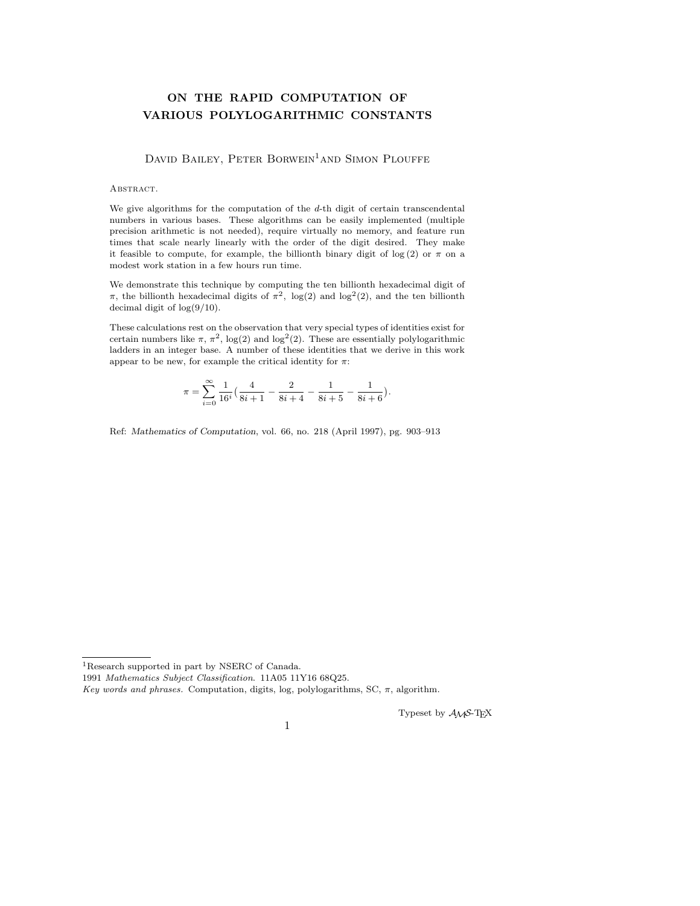# **ON THE RAPID COMPUTATION OF VARIOUS POLYLOGARITHMIC CONSTANTS**

DAVID BAILEY, PETER BORWEIN<sup>1</sup>AND SIMON PLOUFFE

#### ABSTRACT.

We give algorithms for the computation of the  $d$ -th digit of certain transcendental numbers in various bases. These algorithms can be easily implemented (multiple precision arithmetic is not needed), require virtually no memory, and feature run times that scale nearly linearly with the order of the digit desired. They make it feasible to compute, for example, the billionth binary digit of log(2) or  $\pi$  on a modest work station in a few hours run time.

We demonstrate this technique by computing the ten billionth hexadecimal digit of π, the billionth hexadecimal digits of  $π²$ , log(2) and log<sup>2</sup>(2), and the ten billionth decimal digit of log(9/10).

These calculations rest on the observation that very special types of identities exist for certain numbers like  $\pi$ ,  $\pi^2$ , log(2) and log<sup>2</sup>(2). These are essentially polylogarithmic ladders in an integer base. A number of these identities that we derive in this work appear to be new, for example the critical identity for  $\pi$ :

$$
\pi = \sum_{i=0}^\infty \frac{1}{16^i} \Big( \frac{4}{8i+1} - \frac{2}{8i+4} - \frac{1}{8i+5} - \frac{1}{8i+6} \Big).
$$

Ref: *Mathematics of Computation*, vol. 66, no. 218 (April 1997), pg. 903–913

 $^1\rm{Research}$  supported in part by NSERC of Canada.

Typeset by *AMS*-TEX

<sup>1991</sup> Mathematics Subject Classification. 11A05 11Y16 68Q25.

Key words and phrases. Computation, digits, log, polylogarithms, SC,  $\pi$ , algorithm.

<sup>1</sup>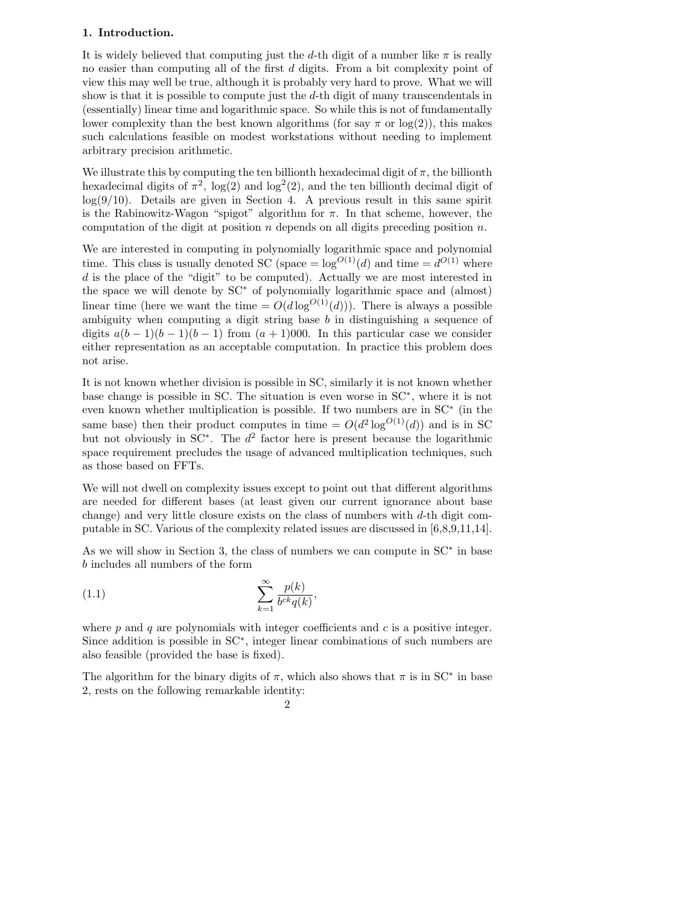### **1. Introduction.**

It is widely believed that computing just the d-th digit of a number like  $\pi$  is really no easier than computing all of the first d digits. From a bit complexity point of view this may well be true, although it is probably very hard to prove. What we will show is that it is possible to compute just the  $d$ -th digit of many transcendentals in (essentially) linear time and logarithmic space. So while this is not of fundamentally lower complexity than the best known algorithms (for say  $\pi$  or  $log(2)$ ), this makes such calculations feasible on modest workstations without needing to implement arbitrary precision arithmetic.

We illustrate this by computing the ten billionth hexadecimal digit of  $\pi$ , the billionth hexadecimal digits of  $\pi^2$ , log(2) and log<sup>2</sup>(2), and the ten billionth decimal digit of  $log(9/10)$ . Details are given in Section 4. A previous result in this same spirit is the Rabinowitz-Wagon "spigot" algorithm for  $\pi$ . In that scheme, however, the computation of the digit at position  $n$  depends on all digits preceding position  $n$ .

We are interested in computing in polynomially logarithmic space and polynomial time. This class is usually denoted SC (space  $= \log^{O(1)}(d)$  and time  $= d^{O(1)}$  where d is the place of the "digit" to be computed). Actually we are most interested in the space we will denote by SC<sup>∗</sup> of polynomially logarithmic space and (almost) linear time (here we want the time  $= O(d \log^{O(1)}(d))$ ). There is always a possible ambiguity when computing a digit string base  $b$  in distinguishing a sequence of digits  $a(b-1)(b-1)(b-1)$  from  $(a+1)000$ . In this particular case we consider either representation as an acceptable computation. In practice this problem does not arise.

It is not known whether division is possible in SC, similarly it is not known whether base change is possible in SC. The situation is even worse in SC∗, where it is not even known whether multiplication is possible. If two numbers are in SC<sup>∗</sup> (in the same base) then their product computes in time  $= O(d^2 \log^{O(1)}(d))$  and is in SC but not obviously in  $SC^*$ . The  $d^2$  factor here is present because the logarithmic space requirement precludes the usage of advanced multiplication techniques, such as those based on FFTs.

We will not dwell on complexity issues except to point out that different algorithms are needed for different bases (at least given our current ignorance about base change) and very little closure exists on the class of numbers with  $d$ -th digit computable in SC. Various of the complexity related issues are discussed in [6,8,9,11,14].

As we will show in Section 3, the class of numbers we can compute in SC<sup>∗</sup> in base b includes all numbers of the form

$$
(1.1)\qquad \qquad \sum_{k=1}^{\infty} \frac{p(k)}{b^{ck}q(k)},
$$

where  $p$  and  $q$  are polynomials with integer coefficients and  $c$  is a positive integer. Since addition is possible in SC∗, integer linear combinations of such numbers are also feasible (provided the base is fixed).

The algorithm for the binary digits of  $\pi$ , which also shows that  $\pi$  is in SC<sup>\*</sup> in base 2, rests on the following remarkable identity: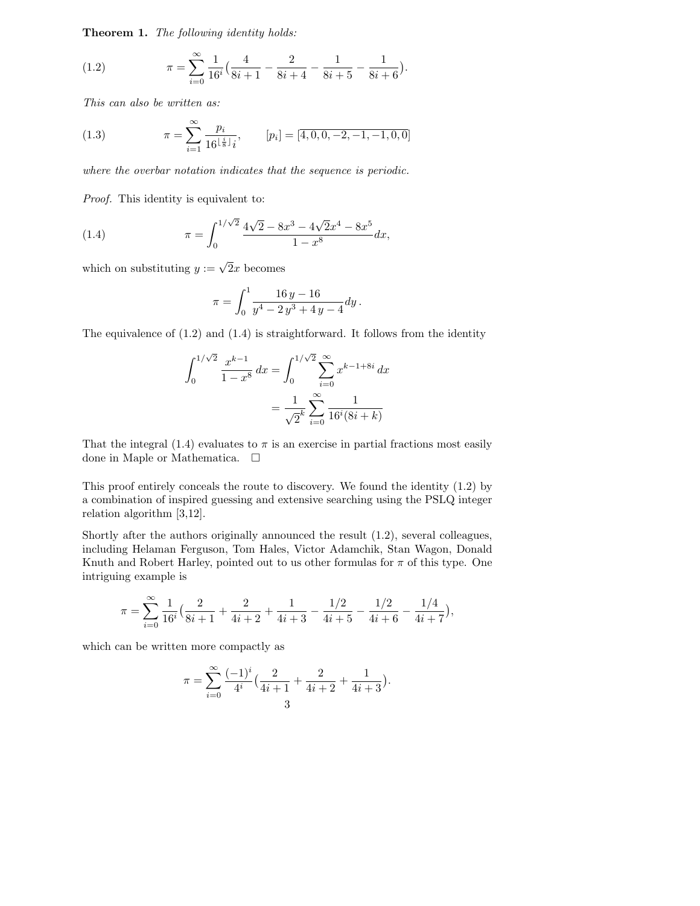**Theorem 1.** *The following identity holds:*

(1.2) 
$$
\pi = \sum_{i=0}^{\infty} \frac{1}{16^i} \left( \frac{4}{8i+1} - \frac{2}{8i+4} - \frac{1}{8i+5} - \frac{1}{8i+6} \right).
$$

*This can also be written as:*

(1.3) 
$$
\pi = \sum_{i=1}^{\infty} \frac{p_i}{16^{\lfloor \frac{i}{8} \rfloor} i}, \qquad [p_i] = [\overline{4, 0, 0, -2, -1, -1, 0, 0}]
$$

*where the overbar notation indicates that the sequence is periodic.*

*Proof.* This identity is equivalent to:

(1.4) 
$$
\pi = \int_0^{1/\sqrt{2}} \frac{4\sqrt{2} - 8x^3 - 4\sqrt{2}x^4 - 8x^5}{1 - x^8} dx,
$$

which on substituting  $y := \sqrt{2}x$  becomes

$$
\pi = \int_0^1 \frac{16 y - 16}{y^4 - 2y^3 + 4y - 4} dy.
$$

The equivalence of (1.2) and (1.4) is straightforward. It follows from the identity

$$
\int_0^{1/\sqrt{2}} \frac{x^{k-1}}{1-x^8} dx = \int_0^{1/\sqrt{2}} \sum_{i=0}^\infty x^{k-1+8i} dx
$$

$$
= \frac{1}{\sqrt{2}^k} \sum_{i=0}^\infty \frac{1}{16^i (8i+k)}
$$

That the integral  $(1.4)$  evaluates to  $\pi$  is an exercise in partial fractions most easily done in Maple or Mathematica.

This proof entirely conceals the route to discovery. We found the identity (1.2) by a combination of inspired guessing and extensive searching using the PSLQ integer relation algorithm [3,12].

Shortly after the authors originally announced the result (1.2), several colleagues, including Helaman Ferguson, Tom Hales, Victor Adamchik, Stan Wagon, Donald Knuth and Robert Harley, pointed out to us other formulas for  $\pi$  of this type. One intriguing example is

$$
\pi = \sum_{i=0}^{\infty} \frac{1}{16^i} \left( \frac{2}{8i+1} + \frac{2}{4i+2} + \frac{1}{4i+3} - \frac{1/2}{4i+5} - \frac{1/2}{4i+6} - \frac{1/4}{4i+7} \right),\,
$$

which can be written more compactly as

$$
\pi = \sum_{i=0}^{\infty} \frac{(-1)^i}{4^i} \left( \frac{2}{4i+1} + \frac{2}{4i+2} + \frac{1}{4i+3} \right).
$$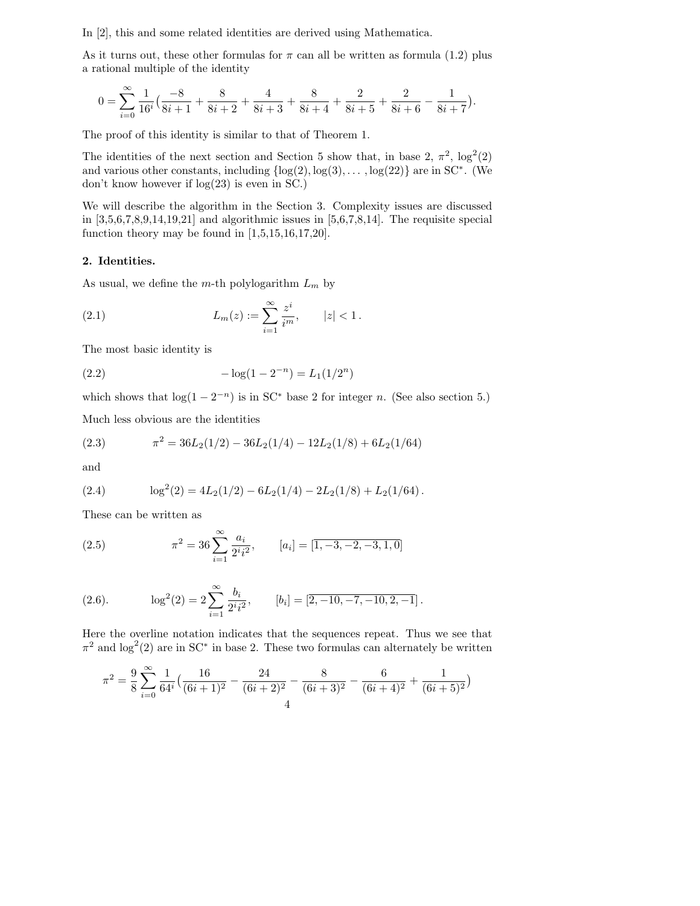In [2], this and some related identities are derived using Mathematica.

As it turns out, these other formulas for  $\pi$  can all be written as formula (1.2) plus a rational multiple of the identity

$$
0 = \sum_{i=0}^{\infty} \frac{1}{16^i} \left( \frac{-8}{8i+1} + \frac{8}{8i+2} + \frac{4}{8i+3} + \frac{8}{8i+4} + \frac{2}{8i+5} + \frac{2}{8i+6} - \frac{1}{8i+7} \right).
$$

The proof of this identity is similar to that of Theorem 1.

The identities of the next section and Section 5 show that, in base 2,  $\pi^2$ ,  $\log^2(2)$ and various other constants, including  $\{log(2), log(3), \ldots, log(22)\}\$  are in SC<sup>∗</sup>. (We don't know however if log(23) is even in SC.)

We will describe the algorithm in the Section 3. Complexity issues are discussed in  $[3,5,6,7,8,9,14,19,21]$  and algorithmic issues in  $[5,6,7,8,14]$ . The requisite special function theory may be found in  $[1,5,15,16,17,20]$ .

### **2. Identities.**

As usual, we define the m-th polylogarithm L*<sup>m</sup>* by

(2.1) 
$$
L_m(z) := \sum_{i=1}^{\infty} \frac{z^i}{i^m}, \qquad |z| < 1.
$$

The most basic identity is

(2.2) 
$$
-\log(1 - 2^{-n}) = L_1(1/2^n)
$$

which shows that  $log(1-2^{-n})$  is in SC<sup>\*</sup> base 2 for integer *n*. (See also section 5.)

Much less obvious are the identities

(2.3) 
$$
\pi^2 = 36L_2(1/2) - 36L_2(1/4) - 12L_2(1/8) + 6L_2(1/64)
$$

and

(2.4) 
$$
\log^2(2) = 4L_2(1/2) - 6L_2(1/4) - 2L_2(1/8) + L_2(1/64).
$$

These can be written as

(2.5) 
$$
\pi^2 = 36 \sum_{i=1}^{\infty} \frac{a_i}{2^i i^2}, \qquad [a_i] = [\overline{1, -3, -2, -3, 1, 0}]
$$

(2.6). 
$$
\log^{2}(2) = 2 \sum_{i=1}^{\infty} \frac{b_{i}}{2^{i} i^{2}}, \qquad [b_{i}] = \left[ \overline{2, -10, -7, -10, 2, -1} \right].
$$

Here the overline notation indicates that the sequences repeat. Thus we see that  $\pi^2$  and log<sup>2</sup>(2) are in SC<sup>\*</sup> in base 2. These two formulas can alternately be written

$$
\pi^2 = \frac{9}{8} \sum_{i=0}^{\infty} \frac{1}{64^i} \left( \frac{16}{(6i+1)^2} - \frac{24}{(6i+2)^2} - \frac{8}{(6i+3)^2} - \frac{6}{(6i+4)^2} + \frac{1}{(6i+5)^2} \right)
$$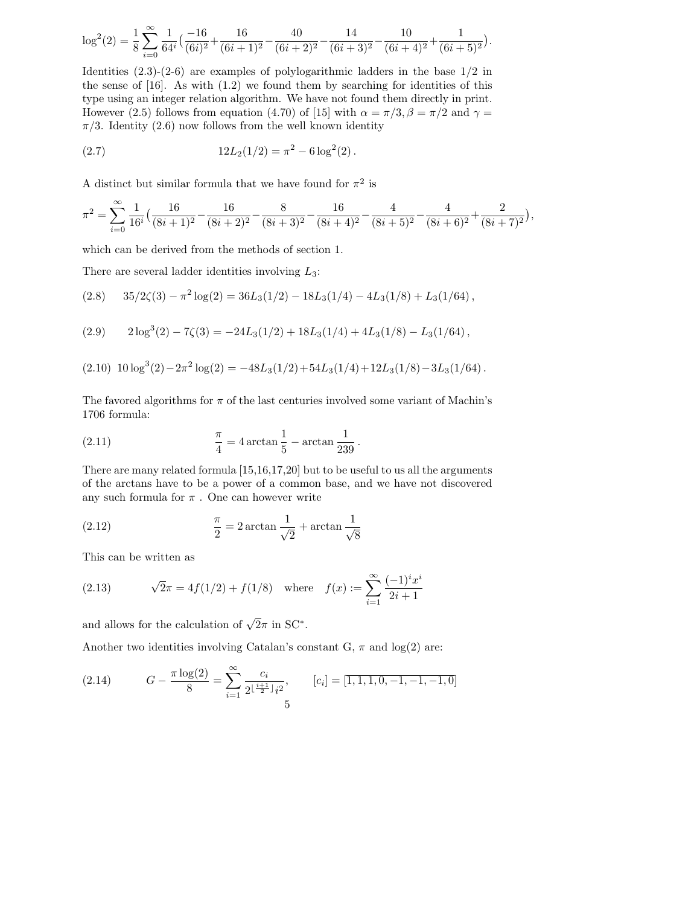$$
\log^2(2) = \frac{1}{8} \sum_{i=0}^{\infty} \frac{1}{64^i} \left( \frac{-16}{(6i)^2} + \frac{16}{(6i+1)^2} - \frac{40}{(6i+2)^2} - \frac{14}{(6i+3)^2} - \frac{10}{(6i+4)^2} + \frac{1}{(6i+5)^2} \right).
$$

Identities  $(2.3)-(2-6)$  are examples of polylogarithmic ladders in the base  $1/2$  in the sense of  $[16]$ . As with  $(1.2)$  we found them by searching for identities of this type using an integer relation algorithm. We have not found them directly in print. However (2.5) follows from equation (4.70) of [15] with  $\alpha = \pi/3$ ,  $\beta = \pi/2$  and  $\gamma =$  $\pi/3$ . Identity (2.6) now follows from the well known identity

(2.7) 
$$
12L_2(1/2) = \pi^2 - 6\log^2(2).
$$

A distinct but similar formula that we have found for  $\pi^2$  is

$$
\pi^2 = \sum_{i=0}^{\infty} \frac{1}{16^i} \left( \frac{16}{(8i+1)^2} - \frac{16}{(8i+2)^2} - \frac{8}{(8i+3)^2} - \frac{16}{(8i+4)^2} - \frac{4}{(8i+5)^2} - \frac{4}{(8i+6)^2} + \frac{2}{(8i+7)^2} \right),
$$

which can be derived from the methods of section 1.

There are several ladder identities involving  $L_3$ :

$$
(2.8) \qquad 35/2\zeta(3)-\pi^2\log(2)=36L_3(1/2)-18L_3(1/4)-4L_3(1/8)+L_3(1/64),
$$

(2.9) 
$$
2\log^3(2) - 7\zeta(3) = -24L_3(1/2) + 18L_3(1/4) + 4L_3(1/8) - L_3(1/64),
$$

$$
(2.10)\ 10\log^3(2) - 2\pi^2\log(2) = -48L_3(1/2) + 54L_3(1/4) + 12L_3(1/8) - 3L_3(1/64).
$$

The favored algorithms for  $\pi$  of the last centuries involved some variant of Machin's 1706 formula:

(2.11) 
$$
\frac{\pi}{4} = 4 \arctan \frac{1}{5} - \arctan \frac{1}{239} .
$$

There are many related formula [15,16,17,20] but to be useful to us all the arguments of the arctans have to be a power of a common base, and we have not discovered any such formula for  $\pi$ . One can however write

(2.12) 
$$
\frac{\pi}{2} = 2 \arctan \frac{1}{\sqrt{2}} + \arctan \frac{1}{\sqrt{8}}
$$

This can be written as

(2.13) 
$$
\sqrt{2}\pi = 4f(1/2) + f(1/8) \quad \text{where} \quad f(x) := \sum_{i=1}^{\infty} \frac{(-1)^i x^i}{2i+1}
$$

and allows for the calculation of  $\sqrt{2}\pi$  in SC<sup>\*</sup>.

Another two identities involving Catalan's constant G,  $\pi$  and log(2) are:

(2.14) 
$$
G - \frac{\pi \log(2)}{8} = \sum_{i=1}^{\infty} \frac{c_i}{2^{\lfloor \frac{i+1}{2} \rfloor} i^2}, \qquad [c_i] = [\overline{1, 1, 1, 0, -1, -1, -1, 0}]
$$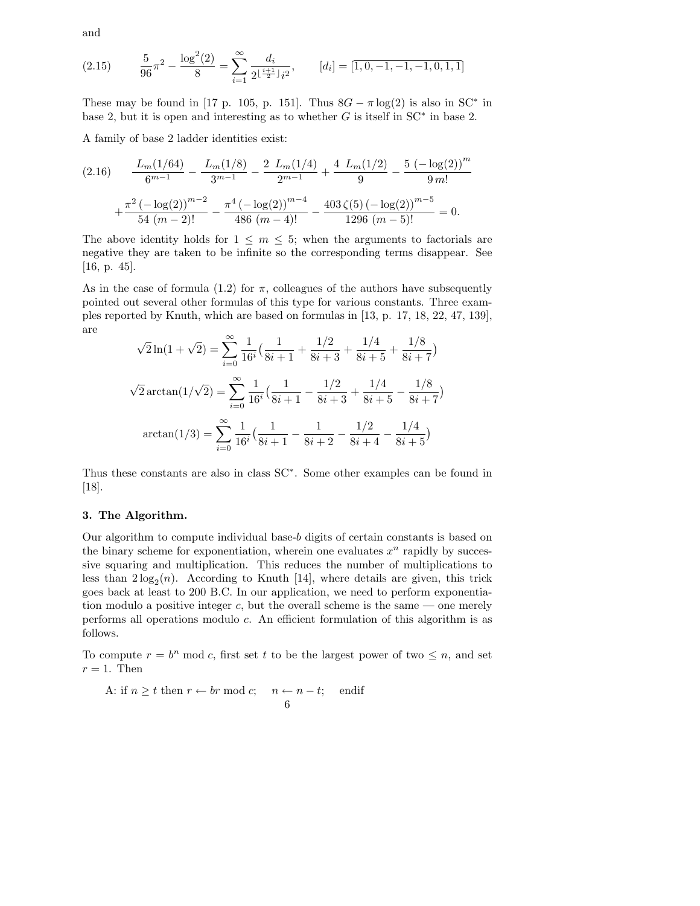and

(2.15) 
$$
\frac{5}{96}\pi^2 - \frac{\log^2(2)}{8} = \sum_{i=1}^{\infty} \frac{d_i}{2^{\left[\frac{i+1}{2}\right]}i^2}, \qquad [d_i] = [\overline{1, 0, -1, -1, -1, 0, 1, 1}]
$$

These may be found in [17 p. 105, p. 151]. Thus  $8G - \pi \log(2)$  is also in SC<sup>\*</sup> in base 2, but it is open and interesting as to whether  $G$  is itself in  $SC^*$  in base 2.

A family of base 2 ladder identities exist:

$$
(2.16) \qquad \frac{L_m(1/64)}{6^{m-1}} - \frac{L_m(1/8)}{3^{m-1}} - \frac{2L_m(1/4)}{2^{m-1}} + \frac{4L_m(1/2)}{9} - \frac{5(-\log(2))^m}{9m!} + \frac{\pi^2(-\log(2))^{m-2}}{54(m-2)!} - \frac{\pi^4(-\log(2))^{m-4}}{486(m-4)!} - \frac{403\,\zeta(5)(-\log(2))^{m-5}}{1296(m-5)!} = 0.
$$

The above identity holds for  $1 \leq m \leq 5$ ; when the arguments to factorials are negative they are taken to be infinite so the corresponding terms disappear. See [16, p. 45].

As in the case of formula (1.2) for  $\pi$ , colleagues of the authors have subsequently pointed out several other formulas of this type for various constants. Three examples reported by Knuth, which are based on formulas in [13, p. 17, 18, 22, 47, 139], are

$$
\sqrt{2}\ln(1+\sqrt{2}) = \sum_{i=0}^{\infty} \frac{1}{16^i} \left( \frac{1}{8i+1} + \frac{1/2}{8i+3} + \frac{1/4}{8i+5} + \frac{1/8}{8i+7} \right)
$$

$$
\sqrt{2}\arctan(1/\sqrt{2}) = \sum_{i=0}^{\infty} \frac{1}{16^i} \left( \frac{1}{8i+1} - \frac{1/2}{8i+3} + \frac{1/4}{8i+5} - \frac{1/8}{8i+7} \right)
$$

$$
\arctan(1/3) = \sum_{i=0}^{\infty} \frac{1}{16^i} \left( \frac{1}{8i+1} - \frac{1}{8i+2} - \frac{1/2}{8i+4} - \frac{1/4}{8i+5} \right)
$$

Thus these constants are also in class SC∗. Some other examples can be found in [18].

### **3. The Algorithm.**

Our algorithm to compute individual base-b digits of certain constants is based on the binary scheme for exponentiation, wherein one evaluates  $x^n$  rapidly by successive squaring and multiplication. This reduces the number of multiplications to less than  $2\log_2(n)$ . According to Knuth [14], where details are given, this trick goes back at least to 200 B.C. In our application, we need to perform exponentiation modulo a positive integer c, but the overall scheme is the same — one merely performs all operations modulo c. An efficient formulation of this algorithm is as follows.

To compute  $r = b^n \mod c$ , first set t to be the largest power of two  $\leq n$ , and set  $r = 1$ . Then

A: if  $n \geq t$  then  $r \leftarrow br \mod c$ ;  $n \leftarrow n - t$ ; endif 6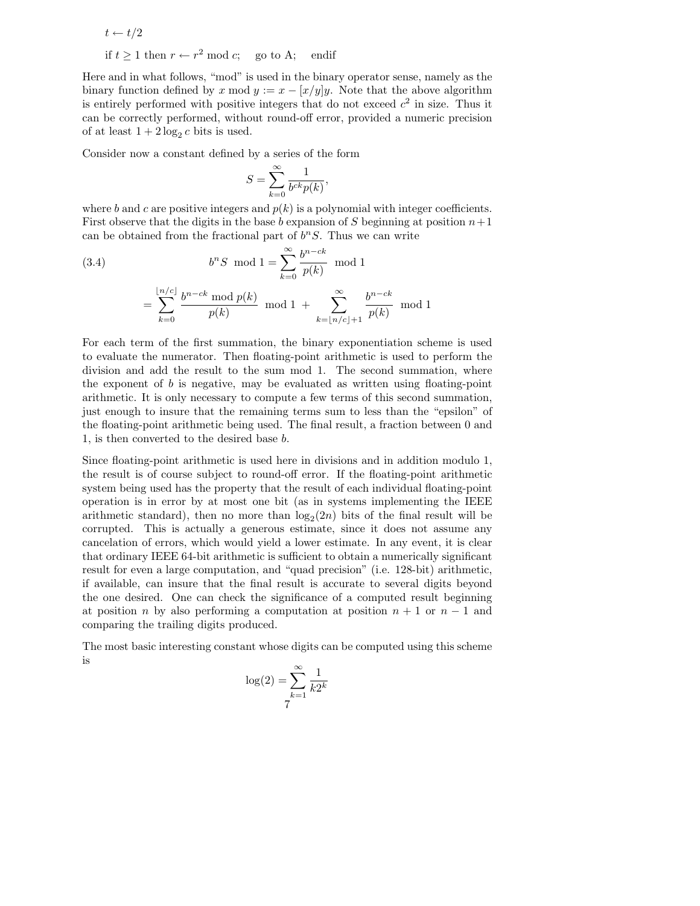$t \leftarrow t/2$ if  $t > 1$  then  $r \leftarrow r^2 \mod c$ ; go to A; endif

Here and in what follows, "mod" is used in the binary operator sense, namely as the binary function defined by  $x \mod y := x - [x/y]y$ . Note that the above algorithm is entirely performed with positive integers that do not exceed  $c<sup>2</sup>$  in size. Thus it can be correctly performed, without round-off error, provided a numeric precision of at least  $1 + 2 \log_2 c$  bits is used.

Consider now a constant defined by a series of the form

$$
S = \sum_{k=0}^{\infty} \frac{1}{b^{ck}p(k)},
$$

where b and c are positive integers and  $p(k)$  is a polynomial with integer coefficients. First observe that the digits in the base b expansion of S beginning at position  $n+1$ can be obtained from the fractional part of  $b<sup>n</sup>S$ . Thus we can write

(3.4) 
$$
b^{n} S \mod 1 = \sum_{k=0}^{\infty} \frac{b^{n-ck}}{p(k)} \mod 1
$$

$$
= \sum_{k=0}^{\lfloor n/c \rfloor} \frac{b^{n-ck} \mod p(k)}{p(k)} \mod 1 + \sum_{k=\lfloor n/c \rfloor+1}^{\infty} \frac{b^{n-ck}}{p(k)} \mod 1
$$

For each term of the first summation, the binary exponentiation scheme is used to evaluate the numerator. Then floating-point arithmetic is used to perform the division and add the result to the sum mod 1. The second summation, where the exponent of  $b$  is negative, may be evaluated as written using floating-point arithmetic. It is only necessary to compute a few terms of this second summation, just enough to insure that the remaining terms sum to less than the "epsilon" of the floating-point arithmetic being used. The final result, a fraction between 0 and 1, is then converted to the desired base b.

Since floating-point arithmetic is used here in divisions and in addition modulo 1, the result is of course subject to round-off error. If the floating-point arithmetic system being used has the property that the result of each individual floating-point operation is in error by at most one bit (as in systems implementing the IEEE arithmetic standard), then no more than  $log_2(2n)$  bits of the final result will be corrupted. This is actually a generous estimate, since it does not assume any cancelation of errors, which would yield a lower estimate. In any event, it is clear that ordinary IEEE 64-bit arithmetic is sufficient to obtain a numerically significant result for even a large computation, and "quad precision" (i.e. 128-bit) arithmetic, if available, can insure that the final result is accurate to several digits beyond the one desired. One can check the significance of a computed result beginning at position n by also performing a computation at position  $n + 1$  or  $n - 1$  and comparing the trailing digits produced.

The most basic interesting constant whose digits can be computed using this scheme is

$$
\log(2) = \sum_{k=1}^{\infty} \frac{1}{k2^k}
$$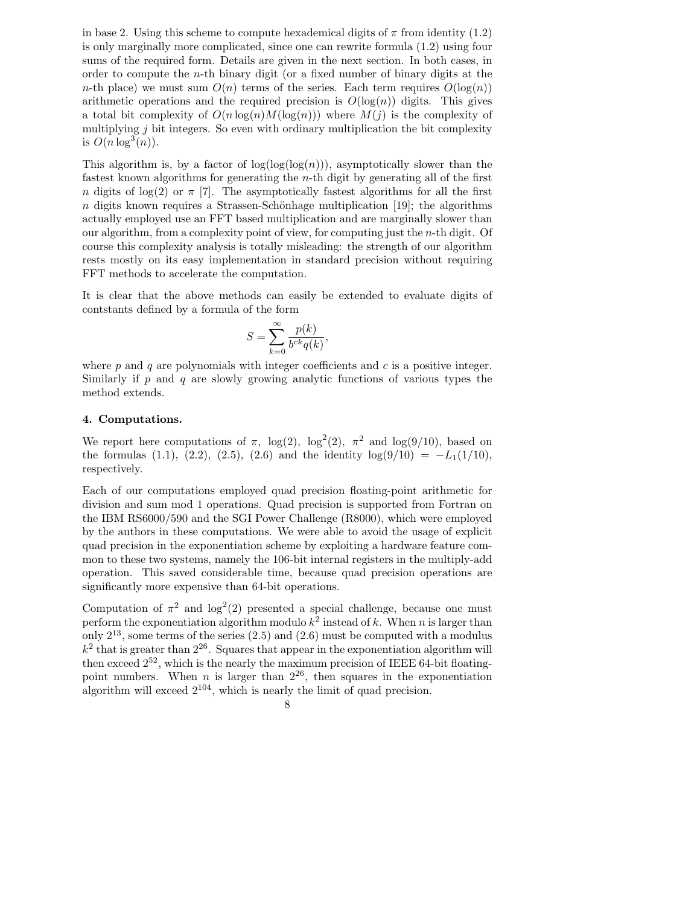in base 2. Using this scheme to compute hexademical digits of  $\pi$  from identity (1.2) is only marginally more complicated, since one can rewrite formula (1.2) using four sums of the required form. Details are given in the next section. In both cases, in order to compute the  $n$ -th binary digit (or a fixed number of binary digits at the n-th place) we must sum  $O(n)$  terms of the series. Each term requires  $O(\log(n))$ arithmetic operations and the required precision is  $O(log(n))$  digits. This gives a total bit complexity of  $O(n \log(n) M(\log(n)))$  where  $M(j)$  is the complexity of multiplying  $j$  bit integers. So even with ordinary multiplication the bit complexity is  $O(n \log^3(n))$ .

This algorithm is, by a factor of  $log(log(log(n)))$ , asymptotically slower than the fastest known algorithms for generating the n-th digit by generating all of the first n digits of log(2) or  $\pi$  [7]. The asymptotically fastest algorithms for all the first  $n$  digits known requires a Strassen-Schönhage multiplication [19]; the algorithms actually employed use an FFT based multiplication and are marginally slower than our algorithm, from a complexity point of view, for computing just the n-th digit. Of course this complexity analysis is totally misleading: the strength of our algorithm rests mostly on its easy implementation in standard precision without requiring FFT methods to accelerate the computation.

It is clear that the above methods can easily be extended to evaluate digits of contstants defined by a formula of the form

$$
S = \sum_{k=0}^{\infty} \frac{p(k)}{b^{ck}q(k)},
$$

where  $p$  and  $q$  are polynomials with integer coefficients and  $c$  is a positive integer. Similarly if p and q are slowly growing analytic functions of various types the method extends.

### **4. Computations.**

We report here computations of  $\pi$ , log(2), log<sup>2</sup>(2),  $\pi^2$  and log(9/10), based on the formulas (1.1), (2.2), (2.5), (2.6) and the identity  $log(9/10) = -L_1(1/10)$ , respectively.

Each of our computations employed quad precision floating-point arithmetic for division and sum mod 1 operations. Quad precision is supported from Fortran on the IBM RS6000/590 and the SGI Power Challenge (R8000), which were employed by the authors in these computations. We were able to avoid the usage of explicit quad precision in the exponentiation scheme by exploiting a hardware feature common to these two systems, namely the 106-bit internal registers in the multiply-add operation. This saved considerable time, because quad precision operations are significantly more expensive than 64-bit operations.

Computation of  $\pi^2$  and  $\log^2(2)$  presented a special challenge, because one must perform the exponentiation algorithm modulo  $k^2$  instead of k. When n is larger than only  $2^{13}$ , some terms of the series  $(2.5)$  and  $(2.6)$  must be computed with a modulus  $k^2$  that is greater than  $2^{26}$ . Squares that appear in the exponentiation algorithm will then exceed  $2^{52}$ , which is the nearly the maximum precision of IEEE 64-bit floatingpoint numbers. When  $n$  is larger than  $2^{26}$ , then squares in the exponentiation algorithm will exceed  $2^{104}$ , which is nearly the limit of quad precision.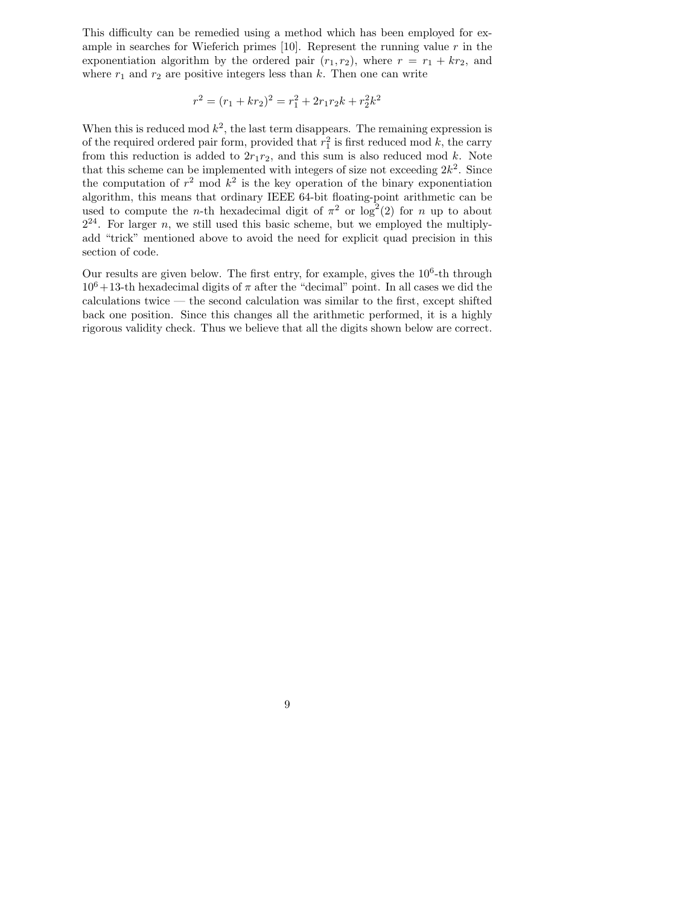This difficulty can be remedied using a method which has been employed for example in searches for Wieferich primes  $[10]$ . Represent the running value r in the exponentiation algorithm by the ordered pair  $(r_1, r_2)$ , where  $r = r_1 + kr_2$ , and where  $r_1$  and  $r_2$  are positive integers less than k. Then one can write

$$
r^2 = (r_1 + kr_2)^2 = r_1^2 + 2r_1r_2k + r_2^2k^2
$$

When this is reduced mod  $k^2$ , the last term disappears. The remaining expression is of the required ordered pair form, provided that  $r_1^2$  is first reduced mod k, the carry from this reduction is added to  $2r_1r_2$ , and this sum is also reduced mod k. Note that this scheme can be implemented with integers of size not exceeding  $2k^2$ . Since the computation of  $r^2$  mod  $k^2$  is the key operation of the binary exponentiation algorithm, this means that ordinary IEEE 64-bit floating-point arithmetic can be used to compute the *n*-th hexadecimal digit of  $\pi^2$  or log<sup>2</sup>(2) for *n* up to about  $2^{24}$ . For larger n, we still used this basic scheme, but we employed the multiplyadd "trick" mentioned above to avoid the need for explicit quad precision in this section of code.

Our results are given below. The first entry, for example, gives the  $10<sup>6</sup>$ -th through  $10^6+13$ -th hexadecimal digits of  $\pi$  after the "decimal" point. In all cases we did the calculations twice — the second calculation was similar to the first, except shifted back one position. Since this changes all the arithmetic performed, it is a highly rigorous validity check. Thus we believe that all the digits shown below are correct.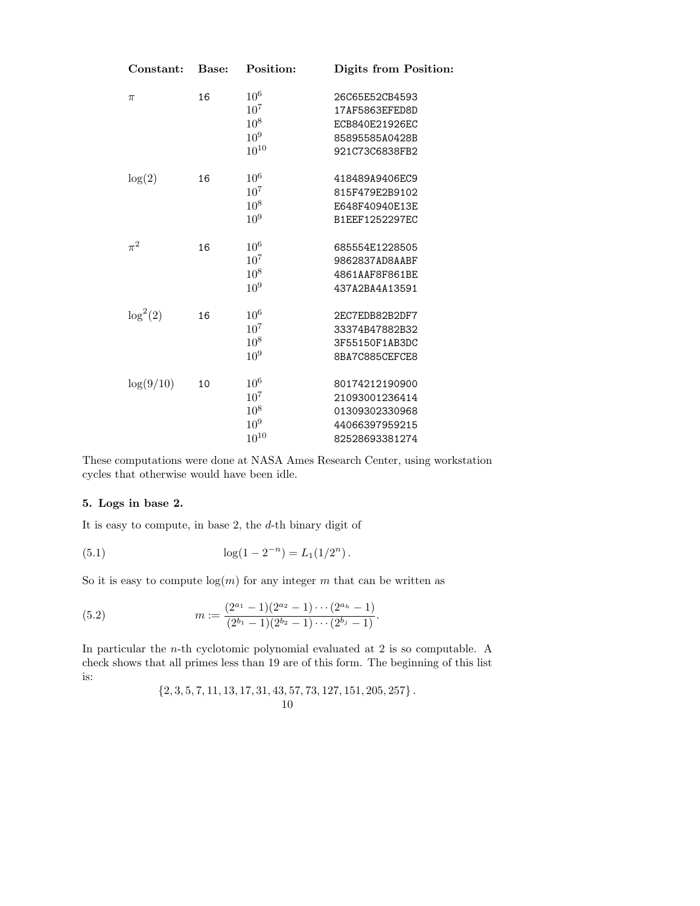| Constant:   | Base: | Position:       | Digits from Position: |
|-------------|-------|-----------------|-----------------------|
| $\pi$       | 16    | 10 <sup>6</sup> | 26C65E52CB4593        |
|             |       | $10^{7}$        | 17AF5863EFED8D        |
|             |       | $10^8$          | ECB840E21926EC        |
|             |       | 10 <sup>9</sup> | 85895585A0428B        |
|             |       | $10^{10}$       | 921C73C6838FB2        |
| log(2)      | 16    | 10 <sup>6</sup> | 418489A9406EC9        |
|             |       | $10^{7}$        | 815F479E2B9102        |
|             |       | $10^{8}$        | E648F40940E13E        |
|             |       | 10 <sup>9</sup> | B1EEF1252297EC        |
| $\pi^2$     | 16    | $10^6$          | 685554E1228505        |
|             |       | $10^{7}$        | 9862837AD8AABF        |
|             |       | 10 <sup>8</sup> | 4861AAF8F861BE        |
|             |       | $10^{9}$        | 437A2BA4A13591        |
| $\log^2(2)$ | 16    | 10 <sup>6</sup> | 2EC7EDB82B2DF7        |
|             |       | $10^{7}$        | 33374B47882B32        |
|             |       | $10^{8}$        | 3F55150F1AB3DC        |
|             |       | 10 <sup>9</sup> | 8BA7C885CEFCE8        |
| log(9/10)   | 10    | 10 <sup>6</sup> | 80174212190900        |
|             |       | $10^{7}$        | 21093001236414        |
|             |       | $10^8\,$        | 01309302330968        |
|             |       | 10 <sup>9</sup> | 44066397959215        |
|             |       | $10^{10}$       | 82528693381274        |

These computations were done at NASA Ames Research Center, using workstation cycles that otherwise would have been idle.

### **5. Logs in base 2.**

It is easy to compute, in base 2, the  $d$ -th binary digit of

(5.1) 
$$
\log(1 - 2^{-n}) = L_1(1/2^n).
$$

So it is easy to compute  $log(m)$  for any integer m that can be written as

(5.2) 
$$
m := \frac{(2^{a_1} - 1)(2^{a_2} - 1) \cdots (2^{a_h} - 1)}{(2^{b_1} - 1)(2^{b_2} - 1) \cdots (2^{b_j} - 1)}.
$$

In particular the *n*-th cyclotomic polynomial evaluated at 2 is so computable. A check shows that all primes less than 19 are of this form. The beginning of this list is:

$$
\left\{2,3,5,7,11,13,17,31,43,57,73,127,151,205,257\right\}.
$$
10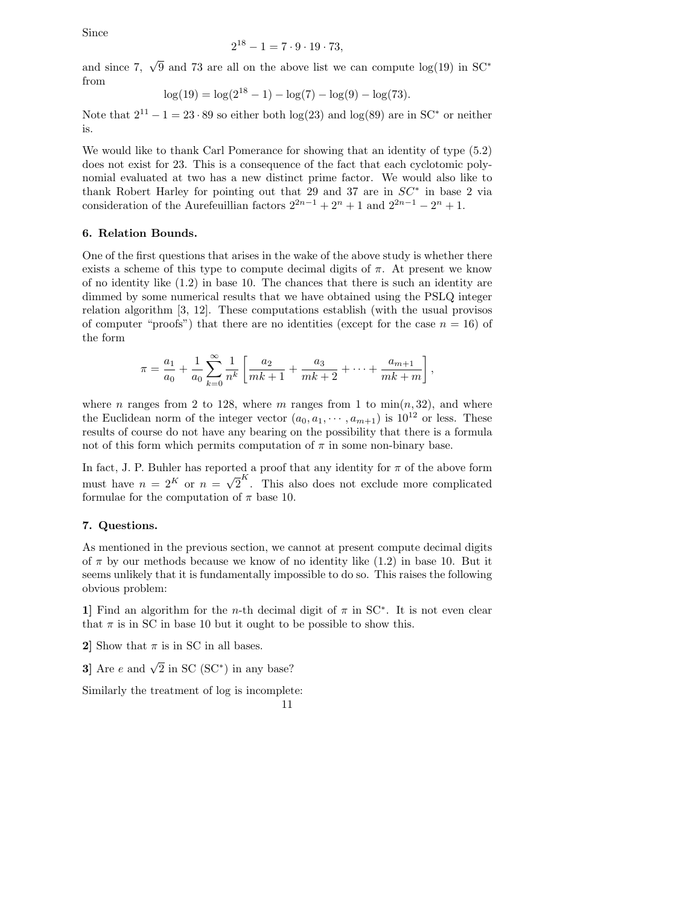Since

$$
2^{18} - 1 = 7 \cdot 9 \cdot 19 \cdot 73,
$$

and since 7,  $\sqrt{9}$  and 73 are all on the above list we can compute log(19) in SC<sup>\*</sup> from

$$
\log(19) = \log(2^{18} - 1) - \log(7) - \log(9) - \log(73).
$$

Note that  $2^{11} - 1 = 23 \cdot 89$  so either both  $log(23)$  and  $log(89)$  are in SC<sup>\*</sup> or neither is.

We would like to thank Carl Pomerance for showing that an identity of type (5.2) does not exist for 23. This is a consequence of the fact that each cyclotomic polynomial evaluated at two has a new distinct prime factor. We would also like to thank Robert Harley for pointing out that 29 and 37 are in  $SC^*$  in base 2 via consideration of the Aurefeuillian factors  $2^{2n-1} + 2^n + 1$  and  $2^{2n-1} - 2^n + 1$ .

### **6. Relation Bounds.**

One of the first questions that arises in the wake of the above study is whether there exists a scheme of this type to compute decimal digits of  $\pi$ . At present we know of no identity like (1.2) in base 10. The chances that there is such an identity are dimmed by some numerical results that we have obtained using the PSLQ integer relation algorithm [3, 12]. These computations establish (with the usual provisos of computer "proofs") that there are no identities (except for the case  $n = 16$ ) of the form

$$
\pi = \frac{a_1}{a_0} + \frac{1}{a_0} \sum_{k=0}^{\infty} \frac{1}{n^k} \left[ \frac{a_2}{mk+1} + \frac{a_3}{mk+2} + \dots + \frac{a_{m+1}}{mk+m} \right]
$$

,

where n ranges from 2 to 128, where m ranges from 1 to  $\min(n, 32)$ , and where the Euclidean norm of the integer vector  $(a_0, a_1, \dots, a_{m+1})$  is  $10^{12}$  or less. These results of course do not have any bearing on the possibility that there is a formula not of this form which permits computation of  $\pi$  in some non-binary base.

In fact, J. P. Buhler has reported a proof that any identity for  $\pi$  of the above form m race,  $\sigma$ . The also term has reported a proof that any racinty for n or the above form<br>must have  $n = 2^K$  or  $n = \sqrt{2}^K$ . This also does not exclude more complicated formulae for the computation of  $\pi$  base 10.

### **7. Questions.**

As mentioned in the previous section, we cannot at present compute decimal digits of  $\pi$  by our methods because we know of no identity like  $(1.2)$  in base 10. But it seems unlikely that it is fundamentally impossible to do so. This raises the following obvious problem:

**1]** Find an algorithm for the *n*-th decimal digit of  $\pi$  in SC<sup>\*</sup>. It is not even clear that  $\pi$  is in SC in base 10 but it ought to be possible to show this.

**2**] Show that  $\pi$  is in SC in all bases.

**3**] Are e and  $\sqrt{2}$  in SC (SC<sup>\*</sup>) in any base?

Similarly the treatment of log is incomplete:

11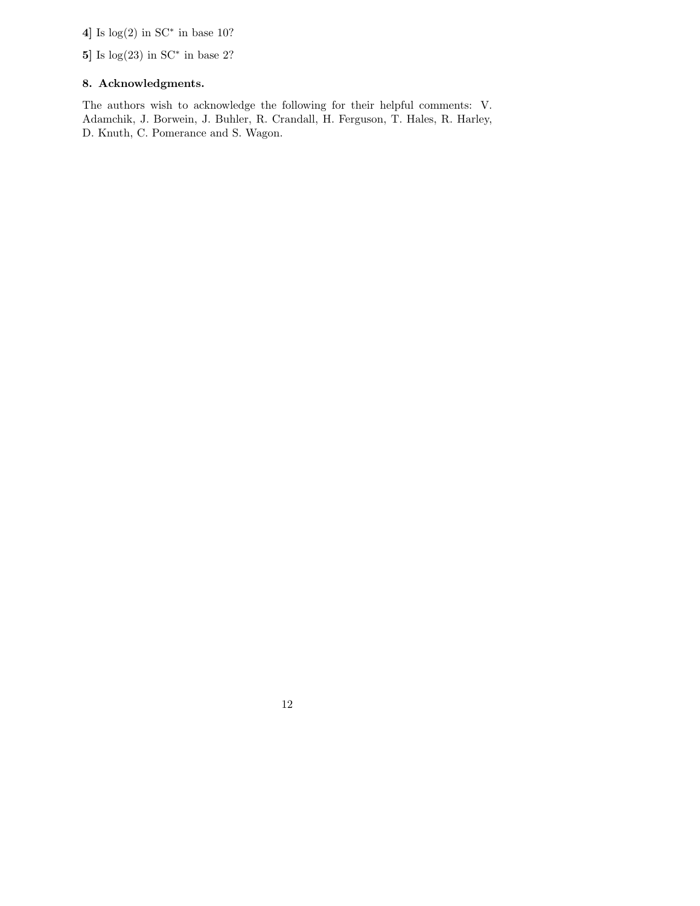**4]** Is log(2) in SC<sup>∗</sup> in base 10?

**5]** Is log(23) in SC<sup>∗</sup> in base 2?

## **8. Acknowledgments.**

The authors wish to acknowledge the following for their helpful comments: V. Adamchik, J. Borwein, J. Buhler, R. Crandall, H. Ferguson, T. Hales, R. Harley, D. Knuth, C. Pomerance and S. Wagon.